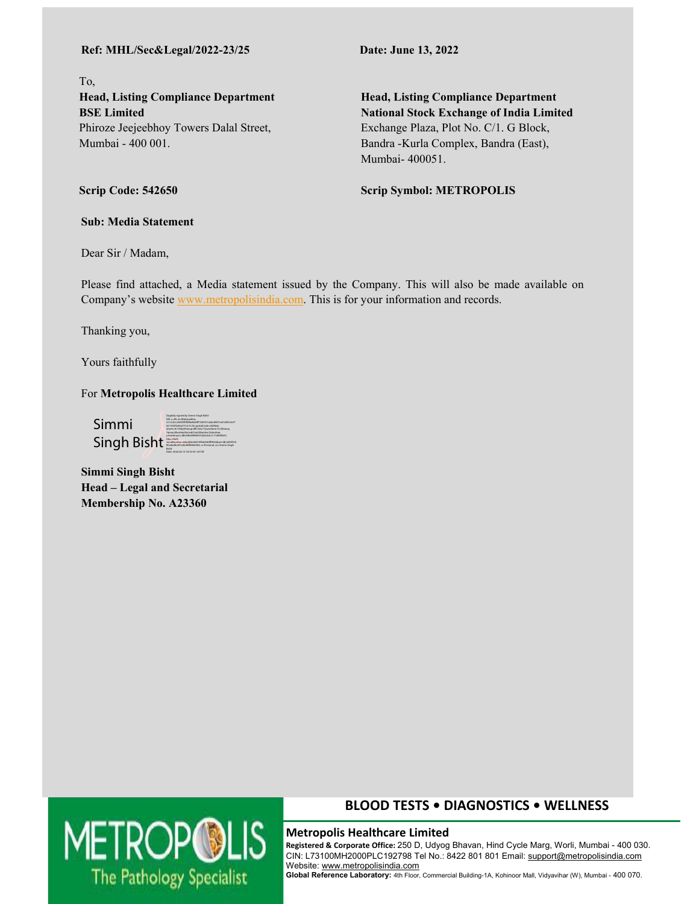### **Ref: MHL/Sec&Legal/2022-23/25 Date: June 13, 2022**

To, **Head, Listing Compliance Department BSE Limited**  Phiroze Jeejeebhoy Towers Dalal Street, Mumbai - 400 001.

**Head, Listing Compliance Department National Stock Exchange of India Limited**  Exchange Plaza, Plot No. C/1. G Block, Bandra -Kurla Complex, Bandra (East), Mumbai- 400051.

**Scrip Symbol: METROPOLIS**

**Scrip Code: 542650** 

**Sub: Media Statement** 

Dear Sir / Madam,

Please find attached, a Media statement issued by the Company. This will also be made available on Company's website www.metropolisindia.com. This is for your information and records.

Thanking you,

Yours faithfully

For **Metropolis Healthcare Limited** 

Simmi Singh Bisht $\equiv$ Digitally signed by Simmi Singh Bisht DN: c=IN, st=Maharashtra, 2.5.4.20=26030f0f5f8a4b28f73303312abcbf651a61629c5a77 6513507b34a7712c7c7d, postalCode=400066, street=A/1306,Dheeraj Hill View Tower,Next To Dheeraj Upvan,Mumbai,Borivali East,Mumbai Suburban, pseudonym=d8e34bd996fe07c82e2dc1c11d834b53, serialNumber=80a282e36414f5d6340ff9536bae1db1d43f376 85a4ad4c6f163b46ffb964360, o=Personal, cn=Simmi Singh Bisht Date: 2022.06.13 18:32:33 +05'30'

**Simmi Singh Bisht Head – Legal and Secretarial Membership No. A23360** 



**All Committee Committee** 

<u> Andrew Maria (1985)</u>

## **BLOOD TESTS • DIAGNOSTICS • WELLNESS**

 **Registered & Corporate Office:** 250 D, Udyog Bhavan, Hind Cycle Marg, Worli, Mumbai - 400 030. CIN: L73100MH2000PLC192798 Tel No.: 8422 801 801 Email: support@metropolisindia.com Website: www.metropolisindia.com

**Global Reference Laboratory:** 4th Floor, Commercial Building-1A, Kohinoor Mall, Vidyavihar (W), Mumbai - 400 070.